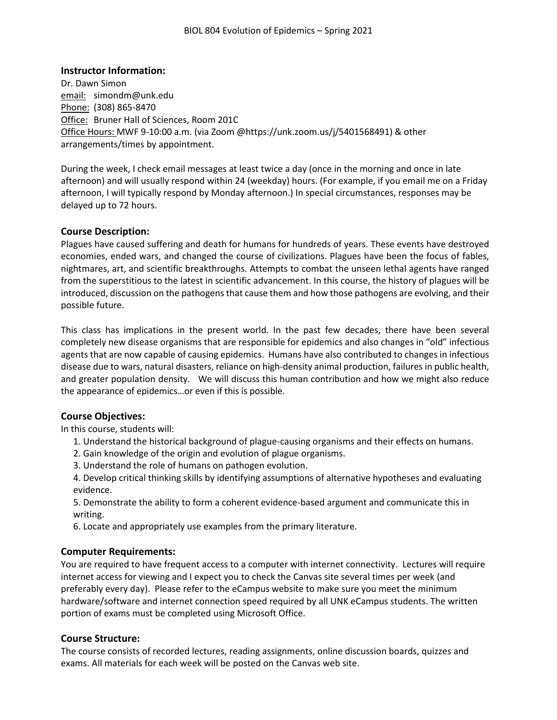# **Instructor Information:**

Dr. Dawn Simon email: simondm@unk.edu Phone: (308) 865-8470 Office: Bruner Hall of Sciences, Room 201C Office Hours: MWF 9-10:00 a.m. (via Zoom @https://unk.zoom.us/j/5401568491) & other arrangements/times by appointment.

During the week, I check email messages at least twice a day (once in the morning and once in late afternoon) and will usually respond within 24 (weekday) hours. (For example, if you email me on a Friday afternoon, I will typically respond by Monday afternoon.) In special circumstances, responses may be delayed up to 72 hours.

# **Course Description:**

Plagues have caused suffering and death for humans for hundreds of years. These events have destroyed economies, ended wars, and changed the course of civilizations. Plagues have been the focus of fables, nightmares, art, and scientific breakthroughs. Attempts to combat the unseen lethal agents have ranged from the superstitious to the latest in scientific advancement. In this course, the history of plagues will be introduced, discussion on the pathogens that cause them and how those pathogens are evolving, and their possible future.

This class has implications in the present world. In the past few decades, there have been several completely new disease organisms that are responsible for epidemics and also changes in "old" infectious agents that are now capable of causing epidemics. Humans have also contributed to changes in infectious disease due to wars, natural disasters, reliance on high-density animal production, failures in public health, and greater population density. We will discuss this human contribution and how we might also reduce the appearance of epidemics…or even if this is possible.

# **Course Objectives:**

In this course, students will:

- 1. Understand the historical background of plague-causing organisms and their effects on humans.
- 2. Gain knowledge of the origin and evolution of plague organisms.
- 3. Understand the role of humans on pathogen evolution.
- 4. Develop critical thinking skills by identifying assumptions of alternative hypotheses and evaluating evidence.
- 5. Demonstrate the ability to form a coherent evidence-based argument and communicate this in writing.
- 6. Locate and appropriately use examples from the primary literature.

# **Computer Requirements:**

You are required to have frequent access to a computer with internet connectivity. Lectures will require internet access for viewing and I expect you to check the Canvas site several times per week (and preferably every day). Please refer to the eCampus website to make sure you meet the minimum hardware/software and internet connection speed required by all UNK eCampus students. The written portion of exams must be completed using Microsoft Office.

## **Course Structure:**

The course consists of recorded lectures, reading assignments, online discussion boards, quizzes and exams. All materials for each week will be posted on the Canvas web site.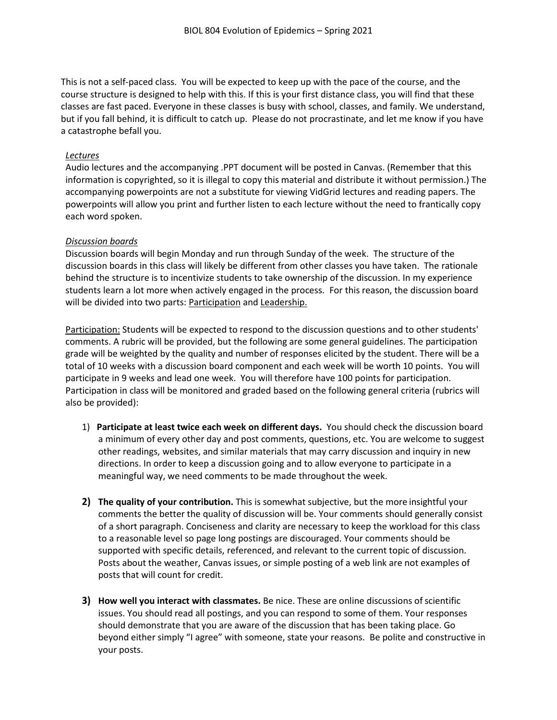This is not a self-paced class. You will be expected to keep up with the pace of the course, and the course structure is designed to help with this. If this is your first distance class, you will find that these classes are fast paced. Everyone in these classes is busy with school, classes, and family. We understand, but if you fall behind, it is difficult to catch up. Please do not procrastinate, and let me know if you have a catastrophe befall you.

#### *Lectures*

Audio lectures and the accompanying .PPT document will be posted in Canvas. (Remember that this information is copyrighted, so it is illegal to copy this material and distribute it without permission.) The accompanying powerpoints are not a substitute for viewing VidGrid lectures and reading papers. The powerpoints will allow you print and further listen to each lecture without the need to frantically copy each word spoken.

#### *Discussion boards*

Discussion boards will begin Monday and run through Sunday of the week. The structure of the discussion boards in this class will likely be different from other classes you have taken. The rationale behind the structure is to incentivize students to take ownership of the discussion. In my experience students learn a lot more when actively engaged in the process. For this reason, the discussion board will be divided into two parts: Participation and Leadership.

Participation: Students will be expected to respond to the discussion questions and to other students' comments. A rubric will be provided, but the following are some general guidelines. The participation grade will be weighted by the quality and number of responses elicited by the student. There will be a total of 10 weeks with a discussion board component and each week will be worth 10 points. You will participate in 9 weeks and lead one week. You will therefore have 100 points for participation. Participation in class will be monitored and graded based on the following general criteria (rubrics will also be provided):

- 1) **Participate at least twice each week on different days.** You should check the discussion board a minimum of every other day and post comments, questions, etc. You are welcome to suggest other readings, websites, and similar materials that may carry discussion and inquiry in new directions. In order to keep a discussion going and to allow everyone to participate in a meaningful way, we need comments to be made throughout the week.
- **2) The quality of your contribution.** This is somewhat subjective, but the more insightful your comments the better the quality of discussion will be. Your comments should generally consist of a short paragraph. Conciseness and clarity are necessary to keep the workload for this class to a reasonable level so page long postings are discouraged. Your comments should be supported with specific details, referenced, and relevant to the current topic of discussion. Posts about the weather, Canvas issues, or simple posting of a web link are not examples of posts that will count for credit.
- **3) How well you interact with classmates.** Be nice. These are online discussions ofscientific issues. You should read all postings, and you can respond to some of them. Your responses should demonstrate that you are aware of the discussion that has been taking place. Go beyond either simply "I agree" with someone, state your reasons. Be polite and constructive in your posts.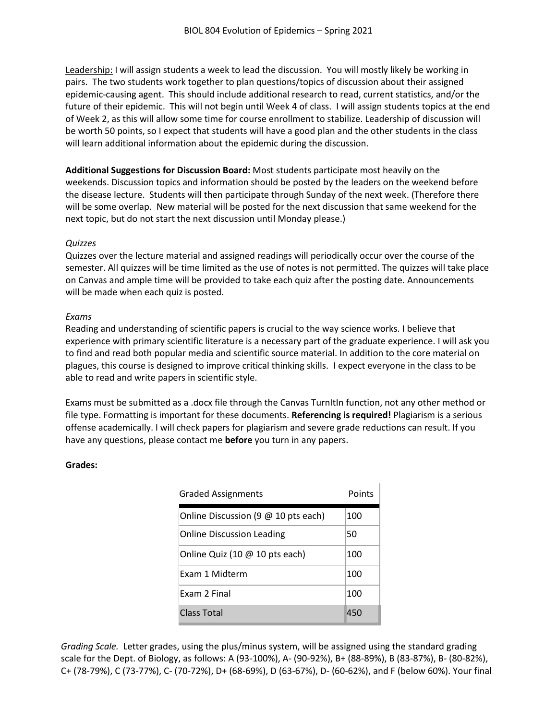Leadership: I will assign students a week to lead the discussion. You will mostly likely be working in pairs. The two students work together to plan questions/topics of discussion about their assigned epidemic-causing agent. This should include additional research to read, current statistics, and/or the future of their epidemic. This will not begin until Week 4 of class. I will assign students topics at the end of Week 2, as this will allow some time for course enrollment to stabilize. Leadership of discussion will be worth 50 points, so I expect that students will have a good plan and the other students in the class will learn additional information about the epidemic during the discussion.

**Additional Suggestions for Discussion Board:** Most students participate most heavily on the weekends. Discussion topics and information should be posted by the leaders on the weekend before the disease lecture. Students will then participate through Sunday of the next week. (Therefore there will be some overlap. New material will be posted for the next discussion that same weekend for the next topic, but do not start the next discussion until Monday please.)

## *Quizzes*

Quizzes over the lecture material and assigned readings will periodically occur over the course of the semester. All quizzes will be time limited as the use of notes is not permitted. The quizzes will take place on Canvas and ample time will be provided to take each quiz after the posting date. Announcements will be made when each quiz is posted.

#### *Exams*

Reading and understanding of scientific papers is crucial to the way science works. I believe that experience with primary scientific literature is a necessary part of the graduate experience. I will ask you to find and read both popular media and scientific source material. In addition to the core material on plagues, this course is designed to improve critical thinking skills. I expect everyone in the class to be able to read and write papers in scientific style.

Exams must be submitted as a .docx file through the Canvas TurnItIn function, not any other method or file type. Formatting is important for these documents. **Referencing is required!** Plagiarism is a serious offense academically. I will check papers for plagiarism and severe grade reductions can result. If you have any questions, please contact me **before** you turn in any papers.

## **Grades:**

| <b>Graded Assignments</b>           | Points |
|-------------------------------------|--------|
| Online Discussion (9 @ 10 pts each) | 100    |
| <b>Online Discussion Leading</b>    | 50     |
| Online Quiz (10 @ 10 pts each)      | 100    |
| Exam 1 Midterm                      | 100    |
| Exam 2 Final                        | 100    |
| Class Total                         | 450    |

*Grading Scale.* Letter grades, using the plus/minus system, will be assigned using the standard grading scale for the Dept. of Biology, as follows: A (93-100%), A- (90-92%), B+ (88-89%), B (83-87%), B- (80-82%), C+ (78-79%), C (73-77%), C- (70-72%), D+ (68-69%), D (63-67%), D- (60-62%), and F (below 60%). Your final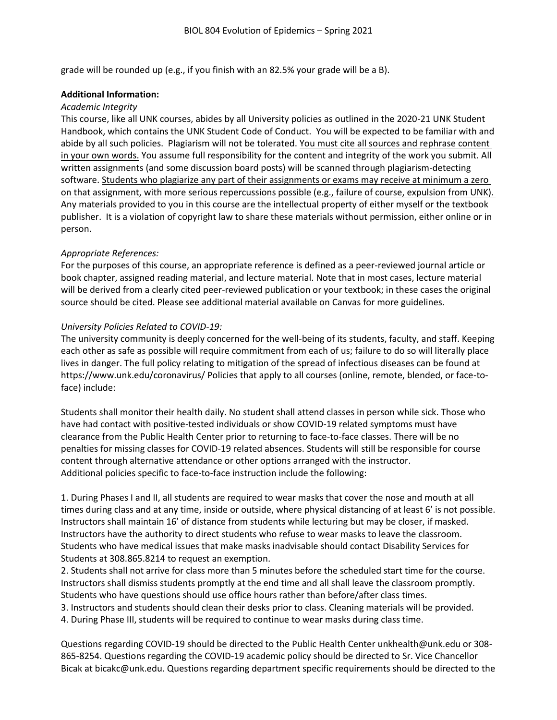grade will be rounded up (e.g., if you finish with an 82.5% your grade will be a B).

#### **Additional Information:**

#### *Academic Integrity*

This course, like all UNK courses, abides by all University policies as outlined in the 2020-21 UNK Student Handbook, which contains the UNK Student Code of Conduct. You will be expected to be familiar with and abide by all such policies. Plagiarism will not be tolerated. You must cite all sources and rephrase content in your own words. You assume full responsibility for the content and integrity of the work you submit. All written assignments (and some discussion board posts) will be scanned through plagiarism-detecting software. Students who plagiarize any part of their assignments or exams may receive at minimum a zero on that assignment, with more serious repercussions possible (e.g., failure of course, expulsion from UNK). Any materials provided to you in this course are the intellectual property of either myself or the textbook publisher. It is a violation of copyright law to share these materials without permission, either online or in person.

## *Appropriate References:*

For the purposes of this course, an appropriate reference is defined as a peer-reviewed journal article or book chapter, assigned reading material, and lecture material. Note that in most cases, lecture material will be derived from a clearly cited peer-reviewed publication or your textbook; in these cases the original source should be cited. Please see additional material available on Canvas for more guidelines.

## *University Policies Related to COVID-19:*

The university community is deeply concerned for the well-being of its students, faculty, and staff. Keeping each other as safe as possible will require commitment from each of us; failure to do so will literally place lives in danger. The full policy relating to mitigation of the spread of infectious diseases can be found at https://www.unk.edu/coronavirus/ Policies that apply to all courses (online, remote, blended, or face-toface) include:

Students shall monitor their health daily. No student shall attend classes in person while sick. Those who have had contact with positive-tested individuals or show COVID-19 related symptoms must have clearance from the Public Health Center prior to returning to face-to-face classes. There will be no penalties for missing classes for COVID-19 related absences. Students will still be responsible for course content through alternative attendance or other options arranged with the instructor. Additional policies specific to face-to-face instruction include the following:

1. During Phases I and II, all students are required to wear masks that cover the nose and mouth at all times during class and at any time, inside or outside, where physical distancing of at least 6' is not possible. Instructors shall maintain 16' of distance from students while lecturing but may be closer, if masked. Instructors have the authority to direct students who refuse to wear masks to leave the classroom. Students who have medical issues that make masks inadvisable should contact Disability Services for Students at 308.865.8214 to request an exemption.

2. Students shall not arrive for class more than 5 minutes before the scheduled start time for the course. Instructors shall dismiss students promptly at the end time and all shall leave the classroom promptly. Students who have questions should use office hours rather than before/after class times.

3. Instructors and students should clean their desks prior to class. Cleaning materials will be provided.

4. During Phase III, students will be required to continue to wear masks during class time.

Questions regarding COVID-19 should be directed to the Public Health Center unkhealth@unk.edu or 308- 865-8254. Questions regarding the COVID-19 academic policy should be directed to Sr. Vice Chancellor Bicak at bicakc@unk.edu. Questions regarding department specific requirements should be directed to the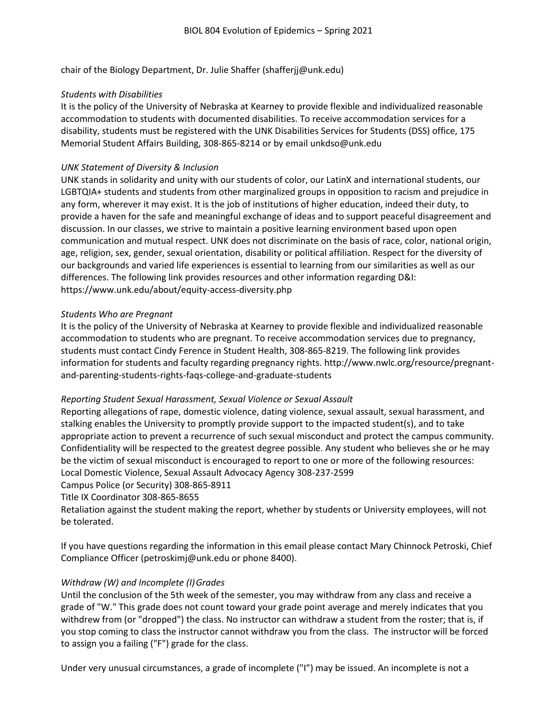chair of the Biology Department, Dr. Julie Shaffer (shafferjj@unk.edu)

# *Students with Disabilities*

It is the policy of the University of Nebraska at Kearney to provide flexible and individualized reasonable accommodation to students with documented disabilities. To receive accommodation services for a disability, students must be registered with the UNK Disabilities Services for Students (DSS) office, 175 Memorial Student Affairs Building, 308-865-8214 or by email unkdso@unk.edu

# *UNK Statement of Diversity & Inclusion*

UNK stands in solidarity and unity with our students of color, our LatinX and international students, our LGBTQIA+ students and students from other marginalized groups in opposition to racism and prejudice in any form, wherever it may exist. It is the job of institutions of higher education, indeed their duty, to provide a haven for the safe and meaningful exchange of ideas and to support peaceful disagreement and discussion. In our classes, we strive to maintain a positive learning environment based upon open communication and mutual respect. UNK does not discriminate on the basis of race, color, national origin, age, religion, sex, gender, sexual orientation, disability or political affiliation. Respect for the diversity of our backgrounds and varied life experiences is essential to learning from our similarities as well as our differences. The following link provides resources and other information regarding D&I: https://www.unk.edu/about/equity-access-diversity.php

# *Students Who are Pregnant*

It is the policy of the University of Nebraska at Kearney to provide flexible and individualized reasonable accommodation to students who are pregnant. To receive accommodation services due to pregnancy, students must contact Cindy Ference in Student Health, 308-865-8219. The following link provides information for students and faculty regarding pregnancy rights. http://www.nwlc.org/resource/pregnantand-parenting-students-rights-faqs-college-and-graduate-students

## *Reporting Student Sexual Harassment, Sexual Violence or Sexual Assault*

Reporting allegations of rape, domestic violence, dating violence, sexual assault, sexual harassment, and stalking enables the University to promptly provide support to the impacted student(s), and to take appropriate action to prevent a recurrence of such sexual misconduct and protect the campus community. Confidentiality will be respected to the greatest degree possible. Any student who believes she or he may be the victim of sexual misconduct is encouraged to report to one or more of the following resources: Local Domestic Violence, Sexual Assault Advocacy Agency 308-237-2599

Campus Police (or Security) 308-865-8911

Title IX Coordinator 308-865-8655

Retaliation against the student making the report, whether by students or University employees, will not be tolerated.

If you have questions regarding the information in this email please contact Mary Chinnock Petroski, Chief Compliance Officer (petroskimj@unk.edu or phone 8400).

# *Withdraw (W) and Incomplete (I)Grades*

Until the conclusion of the 5th week of the semester, you may withdraw from any class and receive a grade of "W." This grade does not count toward your grade point average and merely indicates that you withdrew from (or "dropped") the class. No instructor can withdraw a student from the roster; that is, if you stop coming to class the instructor cannot withdraw you from the class. The instructor will be forced to assign you a failing ("F") grade for the class.

Under very unusual circumstances, a grade of incomplete ("I") may be issued. An incomplete is not a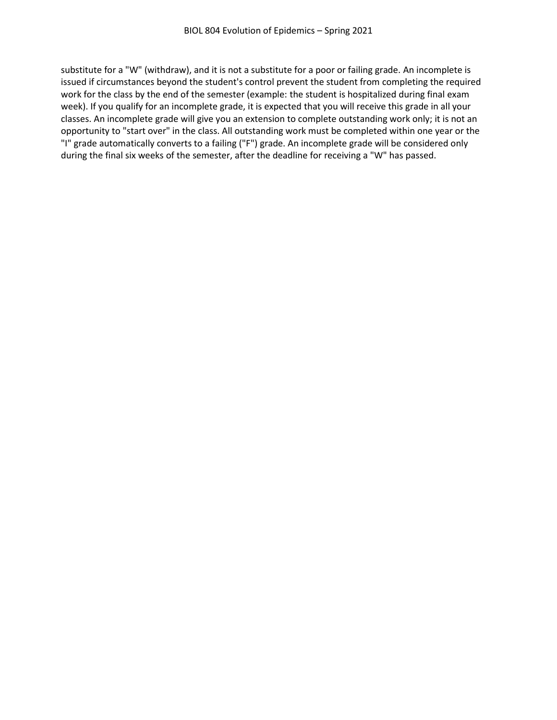substitute for a "W" (withdraw), and it is not a substitute for a poor or failing grade. An incomplete is issued if circumstances beyond the student's control prevent the student from completing the required work for the class by the end of the semester (example: the student is hospitalized during final exam week). If you qualify for an incomplete grade, it is expected that you will receive this grade in all your classes. An incomplete grade will give you an extension to complete outstanding work only; it is not an opportunity to "start over" in the class. All outstanding work must be completed within one year or the "I" grade automatically converts to a failing ("F") grade. An incomplete grade will be considered only during the final six weeks of the semester, after the deadline for receiving a "W" has passed.